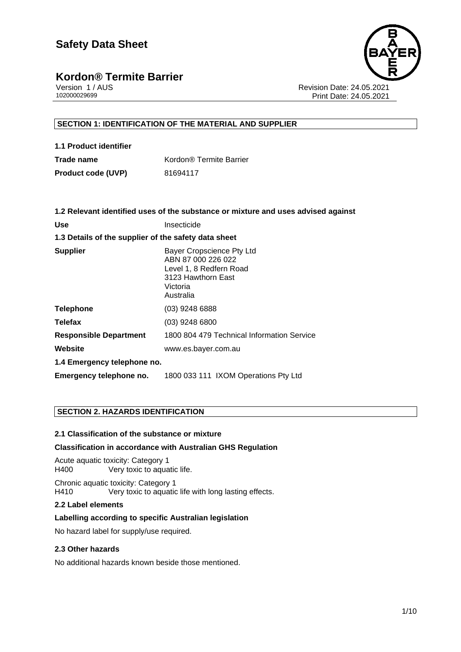# **Kordon® Termite Barrier**<br> **Version 1/AUS**



Version 1 / AUS Revision Date: 24.05.2021 Print Date: 24.05.2021

#### **SECTION 1: IDENTIFICATION OF THE MATERIAL AND SUPPLIER**

| 1.1 Product identifier    |                         |
|---------------------------|-------------------------|
| Trade name                | Kordon® Termite Barrier |
| <b>Product code (UVP)</b> | 81694117                |

|                                                      | 1.2 Relevant identified uses of the substance or mixture and uses advised against                                         |  |
|------------------------------------------------------|---------------------------------------------------------------------------------------------------------------------------|--|
| <b>Use</b>                                           | Insecticide                                                                                                               |  |
| 1.3 Details of the supplier of the safety data sheet |                                                                                                                           |  |
| <b>Supplier</b>                                      | Bayer Cropscience Pty Ltd<br>ABN 87 000 226 022<br>Level 1, 8 Redfern Road<br>3123 Hawthorn East<br>Victoria<br>Australia |  |
| <b>Telephone</b>                                     | $(03)$ 9248 6888                                                                                                          |  |
| Telefax                                              | $(03)$ 9248 6800                                                                                                          |  |
| <b>Responsible Department</b>                        | 1800 804 479 Technical Information Service                                                                                |  |
| Website                                              | www.es.bayer.com.au                                                                                                       |  |
| 1.4 Emergency telephone no.                          |                                                                                                                           |  |
| <b>Emergency telephone no.</b>                       | 1800 033 111 IXOM Operations Pty Ltd                                                                                      |  |
|                                                      |                                                                                                                           |  |

#### **SECTION 2. HAZARDS IDENTIFICATION**

#### **2.1 Classification of the substance or mixture**

#### **Classification in accordance with Australian GHS Regulation**

Acute aquatic toxicity: Category 1 H400 Very toxic to aquatic life.

Chronic aquatic toxicity: Category 1 H410 Very toxic to aquatic life with long lasting effects.

#### **2.2 Label elements**

#### **Labelling according to specific Australian legislation**

No hazard label for supply/use required.

#### **2.3 Other hazards**

No additional hazards known beside those mentioned.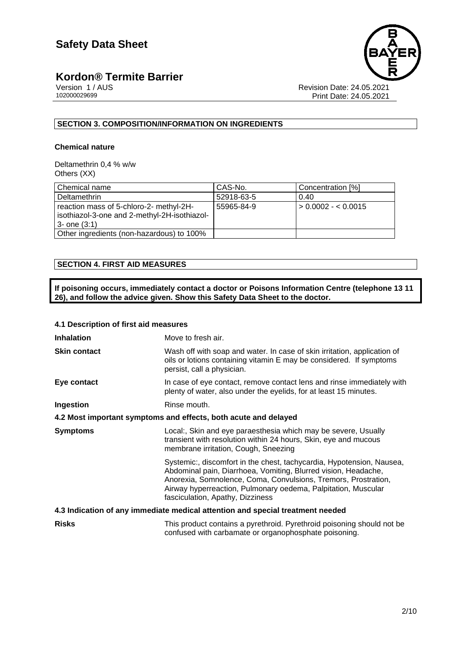# **Kordon® Termite Barrier**<br> **2000029699**<br> **20200029699**



Revision Date: 24.05.2021 Print Date: 24.05.2021

#### **SECTION 3. COMPOSITION/INFORMATION ON INGREDIENTS**

#### **Chemical nature**

Deltamethrin 0,4 % w/w Others (XX)

| Chemical name                                                                                                | CAS-No.    | Concentration [%]   |
|--------------------------------------------------------------------------------------------------------------|------------|---------------------|
| Deltamethrin                                                                                                 | 52918-63-5 | 0.40                |
| reaction mass of 5-chloro-2- methyl-2H-<br>isothiazol-3-one and 2-methyl-2H-isothiazol-<br>$3 -$ one $(3:1)$ | 55965-84-9 | $> 0.0002 - 0.0015$ |
| Other ingredients (non-hazardous) to 100%                                                                    |            |                     |

#### **SECTION 4. FIRST AID MEASURES**

**If poisoning occurs, immediately contact a doctor or Poisons Information Centre (telephone 13 11 26), and follow the advice given. Show this Safety Data Sheet to the doctor.**

#### **4.1 Description of first aid measures**

| <b>Inhalation</b>                                               | Move to fresh air.                                                                                                                                                                                                                                                                                             |  |
|-----------------------------------------------------------------|----------------------------------------------------------------------------------------------------------------------------------------------------------------------------------------------------------------------------------------------------------------------------------------------------------------|--|
| <b>Skin contact</b>                                             | Wash off with soap and water. In case of skin irritation, application of<br>oils or lotions containing vitamin E may be considered. If symptoms<br>persist, call a physician.                                                                                                                                  |  |
| Eye contact                                                     | In case of eye contact, remove contact lens and rinse immediately with<br>plenty of water, also under the eyelids, for at least 15 minutes.                                                                                                                                                                    |  |
| Ingestion                                                       | Rinse mouth.                                                                                                                                                                                                                                                                                                   |  |
| 4.2 Most important symptoms and effects, both acute and delayed |                                                                                                                                                                                                                                                                                                                |  |
| <b>Symptoms</b>                                                 | Local:, Skin and eye paraesthesia which may be severe, Usually<br>transient with resolution within 24 hours, Skin, eye and mucous<br>membrane irritation, Cough, Sneezing                                                                                                                                      |  |
|                                                                 | Systemic:, discomfort in the chest, tachycardia, Hypotension, Nausea,<br>Abdominal pain, Diarrhoea, Vomiting, Blurred vision, Headache,<br>Anorexia, Somnolence, Coma, Convulsions, Tremors, Prostration,<br>Airway hyperreaction, Pulmonary oedema, Palpitation, Muscular<br>fasciculation, Apathy, Dizziness |  |
|                                                                 | 4.3 Indication of any immediate medical attention and special treatment needed                                                                                                                                                                                                                                 |  |
| <b>Risks</b>                                                    | This product contains a pyrethroid. Pyrethroid poisoning should not be<br>confused with carbamate or organophosphate poisoning.                                                                                                                                                                                |  |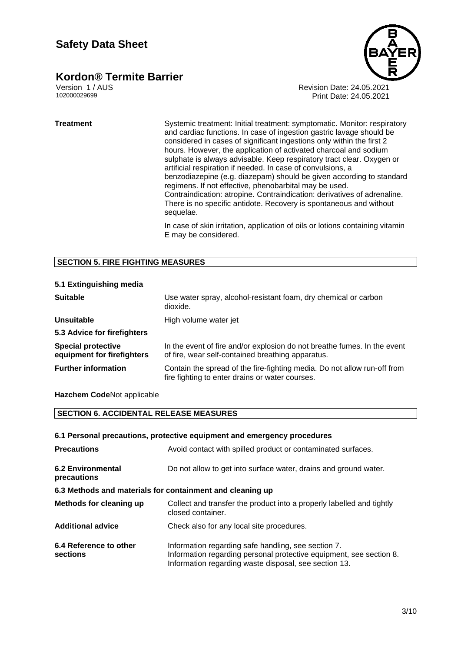# **Kordon® Termite Barrier**<br>Version 1/AUS



Version 1 / AUS Revision Date: 24.05.2021 Print Date: 24.05.2021

**Treatment** Systemic treatment: Initial treatment: symptomatic. Monitor: respiratory and cardiac functions. In case of ingestion gastric lavage should be considered in cases of significant ingestions only within the first 2 hours. However, the application of activated charcoal and sodium sulphate is always advisable. Keep respiratory tract clear. Oxygen or artificial respiration if needed. In case of convulsions, a benzodiazepine (e.g. diazepam) should be given according to standard regimens. If not effective, phenobarbital may be used. Contraindication: atropine. Contraindication: derivatives of adrenaline. There is no specific antidote. Recovery is spontaneous and without sequelae.

> In case of skin irritation, application of oils or lotions containing vitamin E may be considered.

#### **SECTION 5. FIRE FIGHTING MEASURES**

| <b>Suitable</b>                                         | Use water spray, alcohol-resistant foam, dry chemical or carbon<br>dioxide.                                                   |
|---------------------------------------------------------|-------------------------------------------------------------------------------------------------------------------------------|
| Unsuitable                                              | High volume water jet                                                                                                         |
| 5.3 Advice for firefighters                             |                                                                                                                               |
| <b>Special protective</b><br>equipment for firefighters | In the event of fire and/or explosion do not breathe fumes. In the event<br>of fire, wear self-contained breathing apparatus. |
| <b>Further information</b>                              | Contain the spread of the fire-fighting media. Do not allow run-off from<br>fire fighting to enter drains or water courses.   |

#### **5.1 Extinguishing media**

#### **Hazchem Code**Not applicable

#### **SECTION 6. ACCIDENTAL RELEASE MEASURES**

#### **6.1 Personal precautions, protective equipment and emergency procedures**

| <b>Precautions</b>                                        | Avoid contact with spilled product or contaminated surfaces.                                                                                                                        |  |  |
|-----------------------------------------------------------|-------------------------------------------------------------------------------------------------------------------------------------------------------------------------------------|--|--|
| <b>6.2 Environmental</b><br>precautions                   | Do not allow to get into surface water, drains and ground water.                                                                                                                    |  |  |
| 6.3 Methods and materials for containment and cleaning up |                                                                                                                                                                                     |  |  |
| Methods for cleaning up                                   | Collect and transfer the product into a properly labelled and tightly<br>closed container.                                                                                          |  |  |
| <b>Additional advice</b>                                  | Check also for any local site procedures.                                                                                                                                           |  |  |
| 6.4 Reference to other<br>sections                        | Information regarding safe handling, see section 7.<br>Information regarding personal protective equipment, see section 8.<br>Information regarding waste disposal, see section 13. |  |  |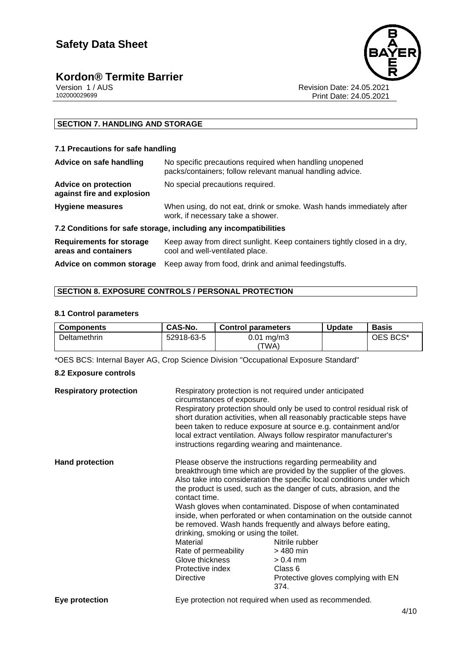# **Kordon® Termite Barrier**<br>Version 1/AUS



Version 1 / AUS<br>102000029699<br>Print Date: 24.05.2021 Print Date: 24.05.2021

#### **SECTION 7. HANDLING AND STORAGE**

#### **7.1 Precautions for safe handling**

| Advice on safe handling                                          | No specific precautions required when handling unopened<br>packs/containers; follow relevant manual handling advice. |  |
|------------------------------------------------------------------|----------------------------------------------------------------------------------------------------------------------|--|
| <b>Advice on protection</b><br>against fire and explosion        | No special precautions required.                                                                                     |  |
| <b>Hygiene measures</b>                                          | When using, do not eat, drink or smoke. Wash hands immediately after<br>work, if necessary take a shower.            |  |
| 7.2 Conditions for safe storage, including any incompatibilities |                                                                                                                      |  |
| <b>Requirements for storage</b><br>areas and containers          | Keep away from direct sunlight. Keep containers tightly closed in a dry,<br>cool and well-ventilated place.          |  |
| Advice on common storage                                         | Keep away from food, drink and animal feedingstuffs.                                                                 |  |

#### **SECTION 8. EXPOSURE CONTROLS / PERSONAL PROTECTION**

#### **8.1 Control parameters**

| <b>Components</b> | CAS-No.    | <b>Control parameters</b> | <b>Update</b> | <b>Basis</b> |
|-------------------|------------|---------------------------|---------------|--------------|
| Deltamethrin      | 52918-63-5 | $0.01 \,\mathrm{mq/m}$    |               | OES BCS*     |
|                   |            | 'TWA)                     |               |              |

\*OES BCS: Internal Bayer AG, Crop Science Division "Occupational Exposure Standard"

#### **8.2 Exposure controls**

| <b>Respiratory protection</b> | Respiratory protection is not required under anticipated<br>circumstances of exposure.<br>instructions regarding wearing and maintenance.              | Respiratory protection should only be used to control residual risk of<br>short duration activities, when all reasonably practicable steps have<br>been taken to reduce exposure at source e.g. containment and/or<br>local extract ventilation. Always follow respirator manufacturer's                                                                                                                                                                                                                                                                                                       |
|-------------------------------|--------------------------------------------------------------------------------------------------------------------------------------------------------|------------------------------------------------------------------------------------------------------------------------------------------------------------------------------------------------------------------------------------------------------------------------------------------------------------------------------------------------------------------------------------------------------------------------------------------------------------------------------------------------------------------------------------------------------------------------------------------------|
| <b>Hand protection</b>        | contact time.<br>drinking, smoking or using the toilet.<br>Material<br>Rate of permeability<br>Glove thickness<br>Protective index<br><b>Directive</b> | Please observe the instructions regarding permeability and<br>breakthrough time which are provided by the supplier of the gloves.<br>Also take into consideration the specific local conditions under which<br>the product is used, such as the danger of cuts, abrasion, and the<br>Wash gloves when contaminated. Dispose of when contaminated<br>inside, when perforated or when contamination on the outside cannot<br>be removed. Wash hands frequently and always before eating,<br>Nitrile rubber<br>$>480$ min<br>$> 0.4$ mm<br>Class 6<br>Protective gloves complying with EN<br>374. |
| Eye protection                |                                                                                                                                                        | Eye protection not required when used as recommended.                                                                                                                                                                                                                                                                                                                                                                                                                                                                                                                                          |

4/10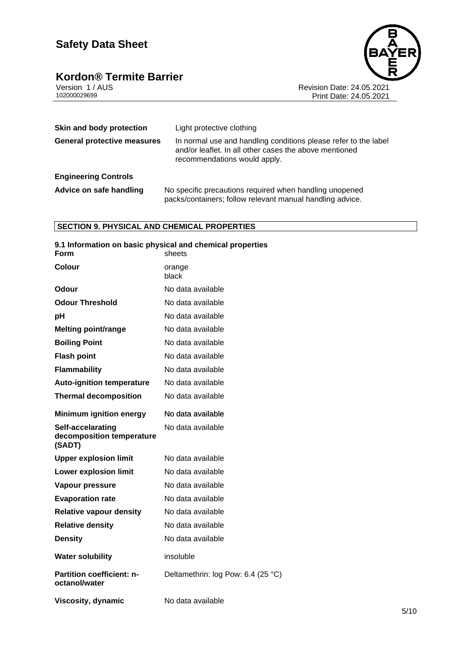# **Kordon® Termite Barrier**<br> **Version 1/AUS**<br>
102000029699



Revision Date: 24.05.2021 Print Date: 24.05.2021

| Skin and body protection           | Light protective clothing                                                                                                                                 |  |
|------------------------------------|-----------------------------------------------------------------------------------------------------------------------------------------------------------|--|
| <b>General protective measures</b> | In normal use and handling conditions please refer to the label<br>and/or leaflet. In all other cases the above mentioned<br>recommendations would apply. |  |
| <b>Engineering Controls</b>        |                                                                                                                                                           |  |
| Advice on safe handling            | No specific precautions required when handling unopened<br>packs/containers; follow relevant manual handling advice.                                      |  |

#### **SECTION 9. PHYSICAL AND CHEMICAL PROPERTIES**

| 9.1 Information on basic physical and chemical properties<br>Form | sheets                             |
|-------------------------------------------------------------------|------------------------------------|
| <b>Colour</b>                                                     | orange<br>black                    |
| Odour                                                             | No data available                  |
| <b>Odour Threshold</b>                                            | No data available                  |
| pH                                                                | No data available                  |
| <b>Melting point/range</b>                                        | No data available                  |
| <b>Boiling Point</b>                                              | No data available                  |
| <b>Flash point</b>                                                | No data available                  |
| <b>Flammability</b>                                               | No data available                  |
| <b>Auto-ignition temperature</b>                                  | No data available                  |
| <b>Thermal decomposition</b>                                      | No data available                  |
| <b>Minimum ignition energy</b>                                    | No data available                  |
| Self-accelarating<br>decomposition temperature<br>(SADT)          | No data available                  |
| <b>Upper explosion limit</b>                                      | No data available                  |
| <b>Lower explosion limit</b>                                      | No data available                  |
| Vapour pressure                                                   | No data available                  |
| <b>Evaporation rate</b>                                           | No data available                  |
| <b>Relative vapour density</b>                                    | No data available                  |
| <b>Relative density</b>                                           | No data available                  |
| <b>Density</b>                                                    | No data available                  |
| <b>Water solubility</b>                                           | insoluble                          |
| <b>Partition coefficient: n-</b><br>octanol/water                 | Deltamethrin: log Pow: 6.4 (25 °C) |
| Viscosity, dynamic                                                | No data available                  |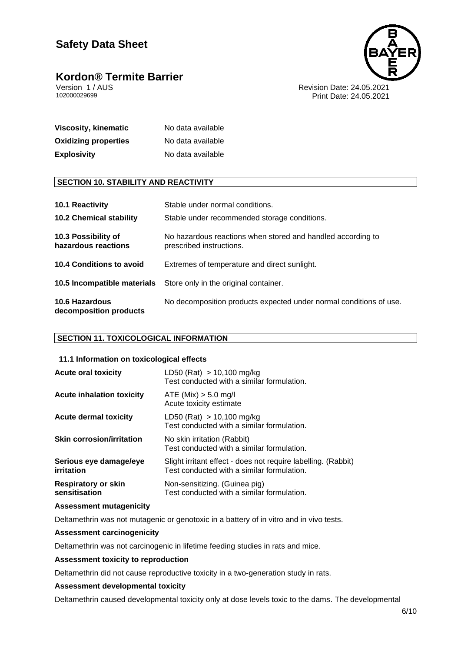# **Kordon® Termite Barrier**<br>Version 1/AUS



Version 1 / AUS Revision Date: 24.05.2021 Print Date: 24.05.2021

| <b>Viscosity, kinematic</b> | No data available |
|-----------------------------|-------------------|
| <b>Oxidizing properties</b> | No data available |
| <b>Explosivity</b>          | No data available |

#### **SECTION 10. STABILITY AND REACTIVITY**

| 10.1 Reactivity                                 | Stable under normal conditions.                                                         |
|-------------------------------------------------|-----------------------------------------------------------------------------------------|
| <b>10.2 Chemical stability</b>                  | Stable under recommended storage conditions.                                            |
| 10.3 Possibility of<br>hazardous reactions      | No hazardous reactions when stored and handled according to<br>prescribed instructions. |
| <b>10.4 Conditions to avoid</b>                 | Extremes of temperature and direct sunlight.                                            |
| 10.5 Incompatible materials                     | Store only in the original container.                                                   |
| <b>10.6 Hazardous</b><br>decomposition products | No decomposition products expected under normal conditions of use.                      |

#### **SECTION 11. TOXICOLOGICAL INFORMATION**

#### **11.1 Information on toxicological effects**

| <b>Acute oral toxicity</b>                  | LD50 (Rat) $> 10,100$ mg/kg<br>Test conducted with a similar formulation.                                   |
|---------------------------------------------|-------------------------------------------------------------------------------------------------------------|
| <b>Acute inhalation toxicity</b>            | ATE (Mix) > 5.0 mg/l<br>Acute toxicity estimate                                                             |
| Acute dermal toxicity                       | LD50 (Rat) $> 10,100$ mg/kg<br>Test conducted with a similar formulation.                                   |
| <b>Skin corrosion/irritation</b>            | No skin irritation (Rabbit)<br>Test conducted with a similar formulation.                                   |
| Serious eye damage/eye<br>irritation        | Slight irritant effect - does not require labelling. (Rabbit)<br>Test conducted with a similar formulation. |
| <b>Respiratory or skin</b><br>sensitisation | Non-sensitizing. (Guinea pig)<br>Test conducted with a similar formulation.                                 |

#### **Assessment mutagenicity**

Deltamethrin was not mutagenic or genotoxic in a battery of in vitro and in vivo tests.

#### **Assessment carcinogenicity**

Deltamethrin was not carcinogenic in lifetime feeding studies in rats and mice.

#### **Assessment toxicity to reproduction**

Deltamethrin did not cause reproductive toxicity in a two-generation study in rats.

#### **Assessment developmental toxicity**

Deltamethrin caused developmental toxicity only at dose levels toxic to the dams. The developmental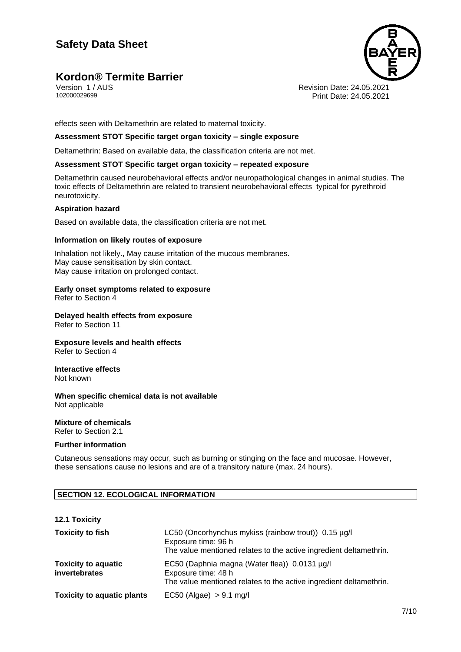### **Kordon® Termite Barrier**



Version 1 / AUS Revision Date: 24.05.2021 Print Date: 24.05.2021

effects seen with Deltamethrin are related to maternal toxicity.

#### **Assessment STOT Specific target organ toxicity – single exposure**

Deltamethrin: Based on available data, the classification criteria are not met.

#### **Assessment STOT Specific target organ toxicity – repeated exposure**

Deltamethrin caused neurobehavioral effects and/or neuropathological changes in animal studies. The toxic effects of Deltamethrin are related to transient neurobehavioral effects typical for pyrethroid neurotoxicity.

#### **Aspiration hazard**

Based on available data, the classification criteria are not met.

#### **Information on likely routes of exposure**

Inhalation not likely., May cause irritation of the mucous membranes. May cause sensitisation by skin contact. May cause irritation on prolonged contact.

### **Early onset symptoms related to exposure**

Refer to Section 4

#### **Delayed health effects from exposure** Refer to Section 11

#### **Exposure levels and health effects** Refer to Section 4

#### **Interactive effects** Not known

#### **When specific chemical data is not available** Not applicable

#### **Mixture of chemicals** Refer to Section 2.1

#### **Further information**

Cutaneous sensations may occur, such as burning or stinging on the face and mucosae. However, these sensations cause no lesions and are of a transitory nature (max. 24 hours).

#### **SECTION 12. ECOLOGICAL INFORMATION**

#### **12.1 Toxicity**

| <b>Toxicity to fish</b>                     | LC50 (Oncorhynchus mykiss (rainbow trout)) 0.15 µg/l<br>Exposure time: 96 h<br>The value mentioned relates to the active ingredient deltamethrin. |
|---------------------------------------------|---------------------------------------------------------------------------------------------------------------------------------------------------|
| <b>Toxicity to aquatic</b><br>invertebrates | EC50 (Daphnia magna (Water flea)) 0.0131 µg/l<br>Exposure time: 48 h<br>The value mentioned relates to the active ingredient deltamethrin.        |
| <b>Toxicity to aquatic plants</b>           | EC50 (Algae) $> 9.1$ mg/l                                                                                                                         |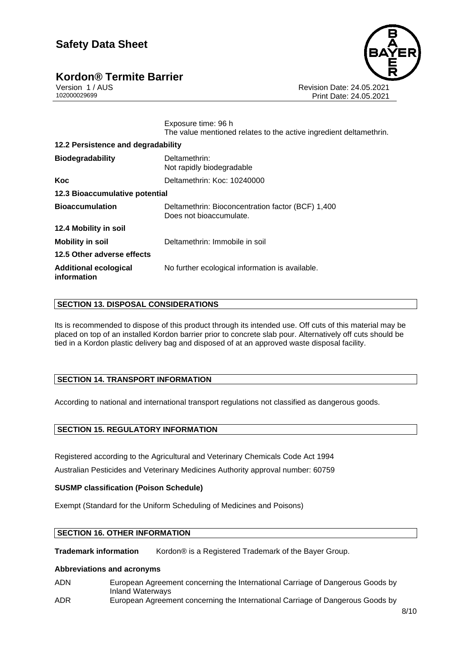### **Kordon® Termite Barrier**



Version 1 / AUS Revision Date: 24.05.2021 Print Date: 24.05.2021

> Exposure time: 96 h The value mentioned relates to the active ingredient deltamethrin.

| 12.2 Persistence and degradability   |                                                                              |  |
|--------------------------------------|------------------------------------------------------------------------------|--|
| <b>Biodegradability</b>              | Deltamethrin:<br>Not rapidly biodegradable                                   |  |
| Koc                                  | Deltamethrin: Koc: 10240000                                                  |  |
| 12.3 Bioaccumulative potential       |                                                                              |  |
| <b>Bioaccumulation</b>               | Deltamethrin: Bioconcentration factor (BCF) 1,400<br>Does not bioaccumulate. |  |
| 12.4 Mobility in soil                |                                                                              |  |
| <b>Mobility in soil</b>              | Deltamethrin: Immobile in soil                                               |  |
| 12.5 Other adverse effects           |                                                                              |  |
| Additional ecological<br>information | No further ecological information is available.                              |  |

#### **SECTION 13. DISPOSAL CONSIDERATIONS**

Its is recommended to dispose of this product through its intended use. Off cuts of this material may be placed on top of an installed Kordon barrier prior to concrete slab pour. Alternatively off cuts should be tied in a Kordon plastic delivery bag and disposed of at an approved waste disposal facility.

#### **SECTION 14. TRANSPORT INFORMATION**

According to national and international transport regulations not classified as dangerous goods.

#### **SECTION 15. REGULATORY INFORMATION**

Registered according to the Agricultural and Veterinary Chemicals Code Act 1994 Australian Pesticides and Veterinary Medicines Authority approval number: 60759

#### **SUSMP classification (Poison Schedule)**

Exempt (Standard for the Uniform Scheduling of Medicines and Poisons)

#### **SECTION 16. OTHER INFORMATION**

**Trademark information** Kordon® is a Registered Trademark of the Bayer Group.

#### **Abbreviations and acronyms**

- ADN European Agreement concerning the International Carriage of Dangerous Goods by Inland Waterways
- ADR European Agreement concerning the International Carriage of Dangerous Goods by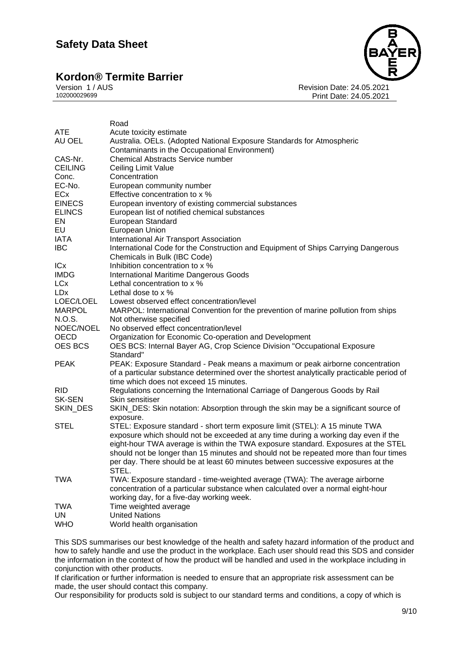# **Kordon® Termite Barrier**<br>Version 1/AUS



Version 1 / AUS Revision Date: 24.05.2021 Print Date: 24.05.2021

|                        | Road                                                                                      |
|------------------------|-------------------------------------------------------------------------------------------|
| <b>ATE</b>             | Acute toxicity estimate                                                                   |
| AU OEL                 | Australia. OELs. (Adopted National Exposure Standards for Atmospheric                     |
|                        | Contaminants in the Occupational Environment)                                             |
| CAS-Nr.                | <b>Chemical Abstracts Service number</b>                                                  |
| <b>CEILING</b>         | Ceiling Limit Value                                                                       |
| Conc.                  | Concentration                                                                             |
| EC-No.                 | European community number                                                                 |
| ECx                    | Effective concentration to x %                                                            |
| <b>EINECS</b>          | European inventory of existing commercial substances                                      |
| <b>ELINCS</b>          | European list of notified chemical substances                                             |
| EN                     | European Standard                                                                         |
| EU                     | European Union                                                                            |
| <b>IATA</b>            | International Air Transport Association                                                   |
| <b>IBC</b>             | International Code for the Construction and Equipment of Ships Carrying Dangerous         |
|                        | Chemicals in Bulk (IBC Code)                                                              |
| <b>ICx</b>             | Inhibition concentration to x %                                                           |
| <b>IMDG</b>            | <b>International Maritime Dangerous Goods</b>                                             |
| <b>LC</b> <sub>x</sub> | Lethal concentration to x %                                                               |
| <b>LD</b> <sub>x</sub> | Lethal dose to $\times$ %                                                                 |
| LOEC/LOEL              | Lowest observed effect concentration/level                                                |
| <b>MARPOL</b>          | MARPOL: International Convention for the prevention of marine pollution from ships        |
| N.O.S.                 | Not otherwise specified                                                                   |
| NOEC/NOEL              | No observed effect concentration/level                                                    |
| <b>OECD</b>            | Organization for Economic Co-operation and Development                                    |
| OES BCS                | OES BCS: Internal Bayer AG, Crop Science Division "Occupational Exposure                  |
|                        | Standard"                                                                                 |
| <b>PEAK</b>            | PEAK: Exposure Standard - Peak means a maximum or peak airborne concentration             |
|                        | of a particular substance determined over the shortest analytically practicable period of |
|                        | time which does not exceed 15 minutes.                                                    |
| <b>RID</b>             | Regulations concerning the International Carriage of Dangerous Goods by Rail              |
| <b>SK-SEN</b>          | Skin sensitiser                                                                           |
| SKIN_DES               | SKIN_DES: Skin notation: Absorption through the skin may be a significant source of       |
|                        | exposure.                                                                                 |
| <b>STEL</b>            | STEL: Exposure standard - short term exposure limit (STEL): A 15 minute TWA               |
|                        | exposure which should not be exceeded at any time during a working day even if the        |
|                        | eight-hour TWA average is within the TWA exposure standard. Exposures at the STEL         |
|                        | should not be longer than 15 minutes and should not be repeated more than four times      |
|                        | per day. There should be at least 60 minutes between successive exposures at the          |
|                        | STEL.                                                                                     |
| <b>TWA</b>             | TWA: Exposure standard - time-weighted average (TWA): The average airborne                |
|                        | concentration of a particular substance when calculated over a normal eight-hour          |
|                        | working day, for a five-day working week.                                                 |
| <b>TWA</b>             | Time weighted average                                                                     |
| UN                     | <b>United Nations</b>                                                                     |
| <b>WHO</b>             | World health organisation                                                                 |

This SDS summarises our best knowledge of the health and safety hazard information of the product and how to safely handle and use the product in the workplace. Each user should read this SDS and consider the information in the context of how the product will be handled and used in the workplace including in conjunction with other products.

If clarification or further information is needed to ensure that an appropriate risk assessment can be made, the user should contact this company.

Our responsibility for products sold is subject to our standard terms and conditions, a copy of which is